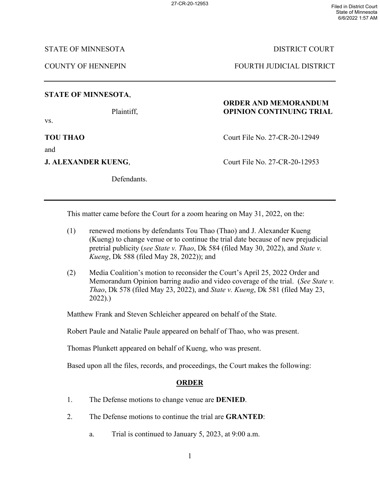STATE OF MINNESOTA DISTRICT COURT

COUNTY OF HENNEPIN FOURTH JUDICIAL DISTRICT

## **STATE OF MINNESOTA**,

vs.

and

Defendants.

# **ORDER AND MEMORANDUM** Plaintiff, **OPINION CONTINUING TRIAL**

**TOU THAO** Court File No. 27-CR-20-12949

**J. ALEXANDER KUENG, Court File No. 27-CR-20-12953** 

This matter came before the Court for a zoom hearing on May 31, 2022, on the:

- (1) renewed motions by defendants Tou Thao (Thao) and J. Alexander Kueng (Kueng) to change venue or to continue the trial date because of new prejudicial pretrial publicity (*see State v. Thao*, Dk 584 (filed May 30, 2022), and *State v. Kueng*, Dk 588 (filed May 28, 2022)); and
- (2) Media Coalition's motion to reconsider the Court's April 25, 2022 Order and Memorandum Opinion barring audio and video coverage of the trial. (*See State v. Thao*, Dk 578 (filed May 23, 2022), and *State v. Kueng*, Dk 581 (filed May 23, 2022).)

Matthew Frank and Steven Schleicher appeared on behalf of the State.

Robert Paule and Natalie Paule appeared on behalf of Thao, who was present.

Thomas Plunkett appeared on behalf of Kueng, who was present.

Based upon all the files, records, and proceedings, the Court makes the following:

# **ORDER**

- 1. The Defense motions to change venue are **DENIED**.
- 2. The Defense motions to continue the trial are **GRANTED**:
	- a. Trial is continued to January 5, 2023, at 9:00 a.m.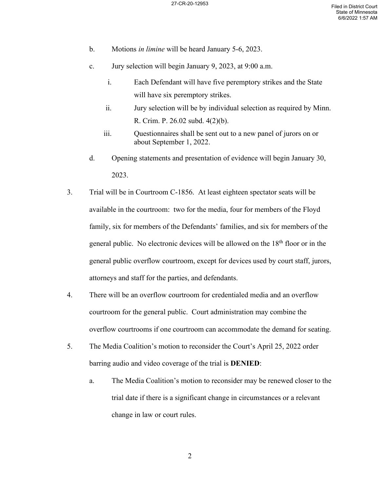- b. Motions *in limine* will be heard January 5-6, 2023.
- c. Jury selection will begin January 9, 2023, at 9:00 a.m.
	- i. Each Defendant will have five peremptory strikes and the State will have six peremptory strikes.
	- ii. Jury selection will be by individual selection as required by Minn. R. Crim. P. 26.02 subd. 4(2)(b).
	- iii. Questionnaires shall be sent out to a new panel of jurors on or about September 1, 2022.
- d. Opening statements and presentation of evidence will begin January 30, 2023.
- 3. Trial will be in Courtroom C-1856. At least eighteen spectator seats will be available in the courtroom: two for the media, four for members of the Floyd family, six for members of the Defendants' families, and six for members of the general public. No electronic devices will be allowed on the  $18<sup>th</sup>$  floor or in the general public overflow courtroom, except for devices used by court staff, jurors, attorneys and staff for the parties, and defendants.
- 4. There will be an overflow courtroom for credentialed media and an overflow courtroom for the general public. Court administration may combine the overflow courtrooms if one courtroom can accommodate the demand for seating.
- 5. The Media Coalition's motion to reconsider the Court's April 25, 2022 order barring audio and video coverage of the trial is **DENIED**:
	- a. The Media Coalition's motion to reconsider may be renewed closer to the trial date if there is a significant change in circumstances or a relevant change in law or court rules.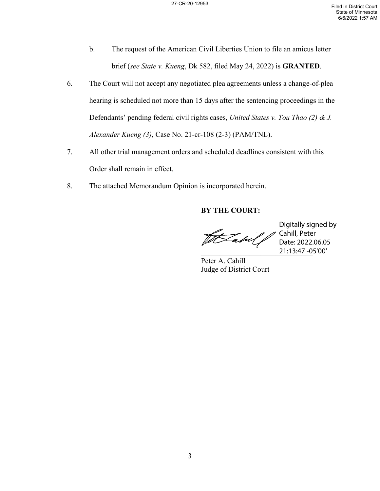- b. The request of the American Civil Liberties Union to file an amicus letter brief (*see State v. Kueng*, Dk 582, filed May 24, 2022) is **GRANTED**.
- 6. The Court will not accept any negotiated plea agreements unless a change-of-plea hearing is scheduled not more than 15 days after the sentencing proceedings in the Defendants' pending federal civil rights cases, *United States v. Tou Thao (2) & J. Alexander Kueng (3)*, Case No. 21-cr-108 (2-3) (PAM/TNL).
- 7. All other trial management orders and scheduled deadlines consistent with this Order shall remain in effect.
- 8. The attached Memorandum Opinion is incorporated herein.

### **BY THE COURT:**

tSabil j

\_\_\_\_\_\_\_\_\_\_\_\_\_\_\_\_\_\_\_\_\_\_\_\_\_\_\_\_\_\_ 21:13:47 -05'00' Digitally signed by Cahill, Peter Date: 2022.06.05

Peter A. Cahill Judge of District Court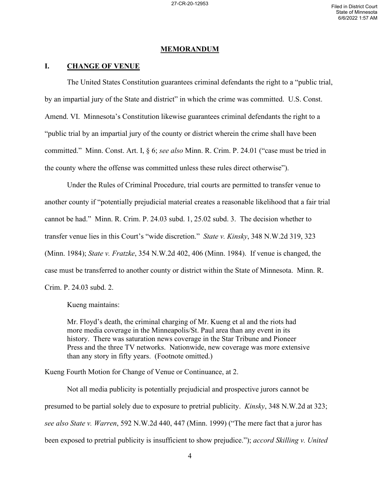#### **MEMORANDUM**

#### **I. CHANGE OF VENUE**

The United States Constitution guarantees criminal defendants the right to a "public trial, by an impartial jury of the State and district" in which the crime was committed. U.S. Const. Amend. VI. Minnesota's Constitution likewise guarantees criminal defendants the right to a "public trial by an impartial jury of the county or district wherein the crime shall have been committed." Minn. Const. Art. I, § 6; *see also* Minn. R. Crim. P. 24.01 ("case must be tried in the county where the offense was committed unless these rules direct otherwise").

Under the Rules of Criminal Procedure, trial courts are permitted to transfer venue to another county if "potentially prejudicial material creates a reasonable likelihood that a fair trial cannot be had." Minn. R. Crim. P. 24.03 subd. 1, 25.02 subd. 3. The decision whether to transfer venue lies in this Court's "wide discretion." *State v. Kinsky*, 348 N.W.2d 319, 323 (Minn. 1984); *State v. Fratzke*, 354 N.W.2d 402, 406 (Minn. 1984). If venue is changed, the case must be transferred to another county or district within the State of Minnesota. Minn. R. Crim. P. 24.03 subd. 2.

Kueng maintains:

Mr. Floyd's death, the criminal charging of Mr. Kueng et al and the riots had more media coverage in the Minneapolis/St. Paul area than any event in its history. There was saturation news coverage in the Star Tribune and Pioneer Press and the three TV networks. Nationwide, new coverage was more extensive than any story in fifty years. (Footnote omitted.)

Kueng Fourth Motion for Change of Venue or Continuance, at 2.

Not all media publicity is potentially prejudicial and prospective jurors cannot be presumed to be partial solely due to exposure to pretrial publicity. *Kinsky*, 348 N.W.2d at 323; *see also State v. Warren*, 592 N.W.2d 440, 447 (Minn. 1999) ("The mere fact that a juror has been exposed to pretrial publicity is insufficient to show prejudice."); *accord Skilling v. United*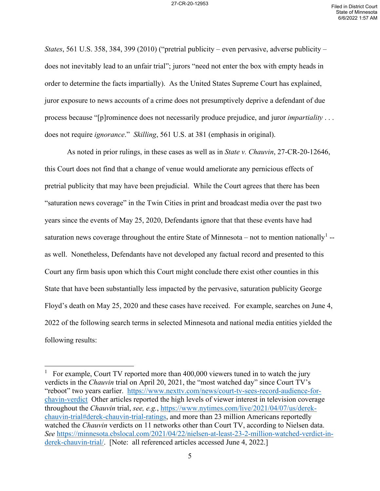*States*, 561 U.S. 358, 384, 399 (2010) ("pretrial publicity – even pervasive, adverse publicity – does not inevitably lead to an unfair trial"; jurors "need not enter the box with empty heads in order to determine the facts impartially). As the United States Supreme Court has explained, juror exposure to news accounts of a crime does not presumptively deprive a defendant of due process because "[p]rominence does not necessarily produce prejudice, and juror *impartiality* . . . does not require *ignorance*." *Skilling*, 561 U.S. at 381 (emphasis in original).

As noted in prior rulings, in these cases as well as in *State v. Chauvin*, 27-CR-20-12646, this Court does not find that a change of venue would ameliorate any pernicious effects of pretrial publicity that may have been prejudicial. While the Court agrees that there has been "saturation news coverage" in the Twin Cities in print and broadcast media over the past two years since the events of May 25, 2020, Defendants ignore that that these events have had saturation news coverage throughout the entire State of Minnesota – not to mention nationally<sup>[1](#page-4-0)</sup> -as well. Nonetheless, Defendants have not developed any factual record and presented to this Court any firm basis upon which this Court might conclude there exist other counties in this State that have been substantially less impacted by the pervasive, saturation publicity George Floyd's death on May 25, 2020 and these cases have received. For example, searches on June 4, 2022 of the following search terms in selected Minnesota and national media entities yielded the following results:

<span id="page-4-0"></span><sup>1</sup> For example, Court TV reported more than 400,000 viewers tuned in to watch the jury verdicts in the *Chauvin* trial on April 20, 2021, the "most watched day" since Court TV's "reboot" two years earlier. [https://www.nexttv.com/news/court-tv-sees-record-audience-for](https://www.nexttv.com/news/court-tv-sees-record-audience-for-chavin-verdict)[chavin-verdict](https://www.nexttv.com/news/court-tv-sees-record-audience-for-chavin-verdict) Other articles reported the high levels of viewer interest in television coverage throughout the *Chauvin* trial, *see, e.g.*, [https://www.nytimes.com/live/2021/04/07/us/derek](https://www.nytimes.com/live/2021/04/07/us/derek-chauvin-trial#derek-chauvin-trial-ratings)[chauvin-trial#derek-chauvin-trial-ratings,](https://www.nytimes.com/live/2021/04/07/us/derek-chauvin-trial#derek-chauvin-trial-ratings) and more than 23 million Americans reportedly watched the *Chauvin* verdicts on 11 networks other than Court TV, according to Nielsen data. *See* [https://minnesota.cbslocal.com/2021/04/22/nielsen-at-least-23-2-million-watched-verdict-in](https://minnesota.cbslocal.com/2021/04/22/nielsen-at-least-23-2-million-watched-verdict-in-derek-chauvin-trial/)[derek-chauvin-trial/.](https://minnesota.cbslocal.com/2021/04/22/nielsen-at-least-23-2-million-watched-verdict-in-derek-chauvin-trial/) [Note: all referenced articles accessed June 4, 2022.]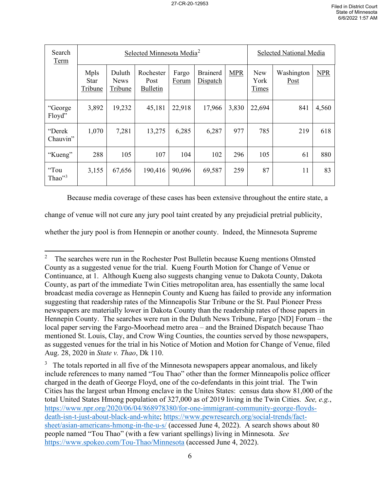| Search<br>Term                | Selected Minnesota Media <sup>2</sup> |                                  |                                      |                |                             |            | Selected National Media |                    |       |
|-------------------------------|---------------------------------------|----------------------------------|--------------------------------------|----------------|-----------------------------|------------|-------------------------|--------------------|-------|
|                               | Mpls<br><b>Star</b><br>Tribune        | Duluth<br><b>News</b><br>Tribune | Rochester<br>Post<br><b>Bulletin</b> | Fargo<br>Forum | <b>Brainerd</b><br>Dispatch | <b>MPR</b> | New<br>York<br>Times    | Washington<br>Post | NPR   |
| "George<br>Floyd"             | 3,892                                 | 19,232                           | 45,181                               | 22,918         | 17,966                      | 3,830      | 22,694                  | 841                | 4,560 |
| "Derek<br>Chauvin"            | 1,070                                 | 7,281                            | 13,275                               | 6,285          | 6,287                       | 977        | 785                     | 219                | 618   |
| "Kueng"                       | 288                                   | 105                              | 107                                  | 104            | 102                         | 296        | 105                     | 61                 | 880   |
| "Tou<br>Thao $"$ <sup>3</sup> | 3,155                                 | 67,656                           | 190,416                              | 90,696         | 69,587                      | 259        | 87                      | 11                 | 83    |

Because media coverage of these cases has been extensive throughout the entire state, a

change of venue will not cure any jury pool taint created by any prejudicial pretrial publicity,

whether the jury pool is from Hennepin or another county. Indeed, the Minnesota Supreme

<span id="page-5-0"></span><sup>2</sup> The searches were run in the Rochester Post Bulletin because Kueng mentions Olmsted County as a suggested venue for the trial. Kueng Fourth Motion for Change of Venue or Continuance, at 1. Although Kueng also suggests changing venue to Dakota County, Dakota County, as part of the immediate Twin Cities metropolitan area, has essentially the same local broadcast media coverage as Hennepin County and Kueng has failed to provide any information suggesting that readership rates of the Minneapolis Star Tribune or the St. Paul Pioneer Press newspapers are materially lower in Dakota County than the readership rates of those papers in Hennepin County. The searches were run in the Duluth News Tribune, Fargo [ND] Forum – the local paper serving the Fargo-Moorhead metro area – and the Brained Dispatch because Thao mentioned St. Louis, Clay, and Crow Wing Counties, the counties served by those newspapers, as suggested venues for the trial in his Notice of Motion and Motion for Change of Venue, filed Aug. 28, 2020 in *State v. Thao*, Dk 110.

<span id="page-5-1"></span> $3$  The totals reported in all five of the Minnesota newspapers appear anomalous, and likely include references to many named "Tou Thao" other than the former Minneapolis police officer charged in the death of George Floyd, one of the co-defendants in this joint trial. The Twin Cities has the largest urban Hmong enclave in the Unites States: census data show 81,000 of the total United States Hmong population of 327,000 as of 2019 living in the Twin Cities. *See, e.g.*, [https://www.npr.org/2020/06/04/868978380/for-one-immigrant-community-george-floyds](https://www.npr.org/2020/06/04/868978380/for-one-immigrant-community-george-floyds-death-isn-t-just-about-black-and-white)[death-isn-t-just-about-black-and-white;](https://www.npr.org/2020/06/04/868978380/for-one-immigrant-community-george-floyds-death-isn-t-just-about-black-and-white) [https://www.pewresearch.org/social-trends/fact](https://www.pewresearch.org/social-trends/fact-sheet/asian-americans-hmong-in-the-u-s/)[sheet/asian-americans-hmong-in-the-u-s/](https://www.pewresearch.org/social-trends/fact-sheet/asian-americans-hmong-in-the-u-s/) (accessed June 4, 2022). A search shows about 80 people named "Tou Thao" (with a few variant spellings) living in Minnesota. *See* <https://www.spokeo.com/Tou-Thao/Minnesota>(accessed June 4, 2022).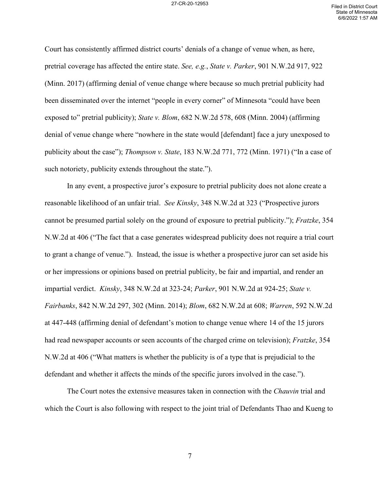Court has consistently affirmed district courts' denials of a change of venue when, as here, pretrial coverage has affected the entire state. *See, e.g.*, *State v. Parker*, 901 N.W.2d 917, 922 (Minn. 2017) (affirming denial of venue change where because so much pretrial publicity had been disseminated over the internet "people in every corner" of Minnesota "could have been exposed to" pretrial publicity); *State v. Blom*, 682 N.W.2d 578, 608 (Minn. 2004) (affirming denial of venue change where "nowhere in the state would [defendant] face a jury unexposed to publicity about the case"); *Thompson v. State*, 183 N.W.2d 771, 772 (Minn. 1971) ("In a case of such notoriety, publicity extends throughout the state.").

In any event, a prospective juror's exposure to pretrial publicity does not alone create a reasonable likelihood of an unfair trial. *See Kinsky*, 348 N.W.2d at 323 ("Prospective jurors cannot be presumed partial solely on the ground of exposure to pretrial publicity."); *Fratzke*, 354 N.W.2d at 406 ("The fact that a case generates widespread publicity does not require a trial court to grant a change of venue."). Instead, the issue is whether a prospective juror can set aside his or her impressions or opinions based on pretrial publicity, be fair and impartial, and render an impartial verdict. *Kinsky*, 348 N.W.2d at 323-24; *Parker*, 901 N.W.2d at 924-25; *State v. Fairbanks*, 842 N.W.2d 297, 302 (Minn. 2014); *Blom*, 682 N.W.2d at 608; *Warren*, 592 N.W.2d at 447-448 (affirming denial of defendant's motion to change venue where 14 of the 15 jurors had read newspaper accounts or seen accounts of the charged crime on television); *Fratzke*, 354 N.W.2d at 406 ("What matters is whether the publicity is of a type that is prejudicial to the defendant and whether it affects the minds of the specific jurors involved in the case.").

The Court notes the extensive measures taken in connection with the *Chauvin* trial and which the Court is also following with respect to the joint trial of Defendants Thao and Kueng to

7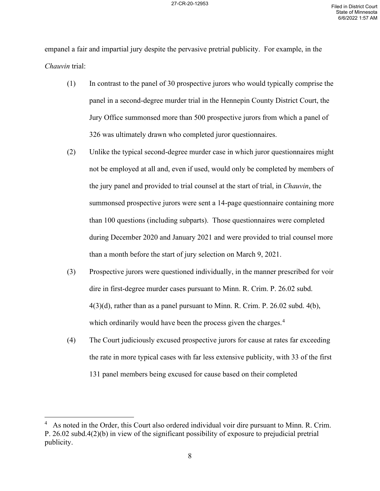empanel a fair and impartial jury despite the pervasive pretrial publicity. For example, in the *Chauvin* trial:

- (1) In contrast to the panel of 30 prospective jurors who would typically comprise the panel in a second-degree murder trial in the Hennepin County District Court, the Jury Office summonsed more than 500 prospective jurors from which a panel of 326 was ultimately drawn who completed juror questionnaires.
- (2) Unlike the typical second-degree murder case in which juror questionnaires might not be employed at all and, even if used, would only be completed by members of the jury panel and provided to trial counsel at the start of trial, in *Chauvin*, the summonsed prospective jurors were sent a 14-page questionnaire containing more than 100 questions (including subparts). Those questionnaires were completed during December 2020 and January 2021 and were provided to trial counsel more than a month before the start of jury selection on March 9, 2021.
- (3) Prospective jurors were questioned individually, in the manner prescribed for voir dire in first-degree murder cases pursuant to Minn. R. Crim. P. 26.02 subd.  $4(3)(d)$ , rather than as a panel pursuant to Minn. R. Crim. P. 26.02 subd.  $4(b)$ , which ordinarily would have been the process given the charges.<sup>[4](#page-7-0)</sup>
- (4) The Court judiciously excused prospective jurors for cause at rates far exceeding the rate in more typical cases with far less extensive publicity, with 33 of the first 131 panel members being excused for cause based on their completed

<span id="page-7-0"></span><sup>4</sup> As noted in the Order, this Court also ordered individual voir dire pursuant to Minn. R. Crim. P. 26.02 subd.4(2)(b) in view of the significant possibility of exposure to prejudicial pretrial publicity.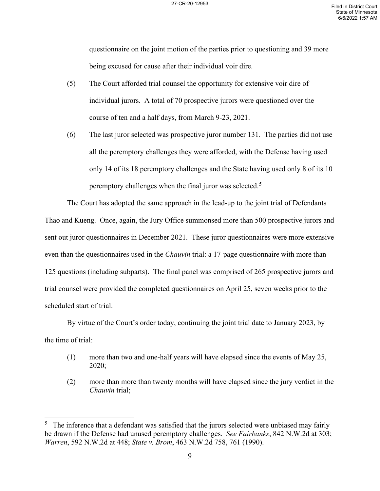questionnaire on the joint motion of the parties prior to questioning and 39 more being excused for cause after their individual voir dire.

- (5) The Court afforded trial counsel the opportunity for extensive voir dire of individual jurors. A total of 70 prospective jurors were questioned over the course of ten and a half days, from March 9-23, 2021.
- (6) The last juror selected was prospective juror number 131. The parties did not use all the peremptory challenges they were afforded, with the Defense having used only 14 of its 18 peremptory challenges and the State having used only 8 of its 10 peremptory challenges when the final juror was selected.<sup>[5](#page-8-0)</sup>

The Court has adopted the same approach in the lead-up to the joint trial of Defendants Thao and Kueng. Once, again, the Jury Office summonsed more than 500 prospective jurors and sent out juror questionnaires in December 2021. These juror questionnaires were more extensive even than the questionnaires used in the *Chauvin* trial: a 17-page questionnaire with more than 125 questions (including subparts). The final panel was comprised of 265 prospective jurors and trial counsel were provided the completed questionnaires on April 25, seven weeks prior to the scheduled start of trial.

By virtue of the Court's order today, continuing the joint trial date to January 2023, by the time of trial:

- (1) more than two and one-half years will have elapsed since the events of May 25, 2020;
- (2) more than more than twenty months will have elapsed since the jury verdict in the *Chauvin* trial;

<span id="page-8-0"></span><sup>5</sup> The inference that a defendant was satisfied that the jurors selected were unbiased may fairly be drawn if the Defense had unused peremptory challenges. *See Fairbanks*, 842 N.W.2d at 303; *Warren*, 592 N.W.2d at 448; *State v. Brom*, 463 N.W.2d 758, 761 (1990).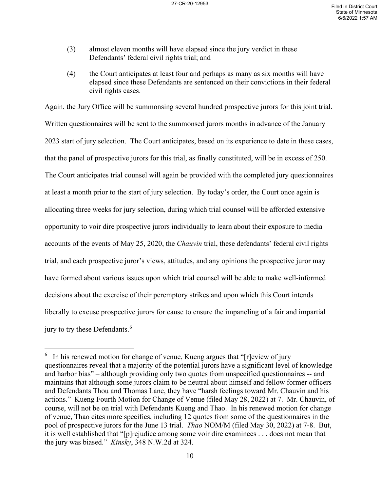- (3) almost eleven months will have elapsed since the jury verdict in these Defendants' federal civil rights trial; and
- (4) the Court anticipates at least four and perhaps as many as six months will have elapsed since these Defendants are sentenced on their convictions in their federal civil rights cases.

Again, the Jury Office will be summonsing several hundred prospective jurors for this joint trial. Written questionnaires will be sent to the summonsed jurors months in advance of the January 2023 start of jury selection. The Court anticipates, based on its experience to date in these cases, that the panel of prospective jurors for this trial, as finally constituted, will be in excess of 250. The Court anticipates trial counsel will again be provided with the completed jury questionnaires at least a month prior to the start of jury selection. By today's order, the Court once again is allocating three weeks for jury selection, during which trial counsel will be afforded extensive opportunity to voir dire prospective jurors individually to learn about their exposure to media accounts of the events of May 25, 2020, the *Chauvin* trial, these defendants' federal civil rights trial, and each prospective juror's views, attitudes, and any opinions the prospective juror may have formed about various issues upon which trial counsel will be able to make well-informed decisions about the exercise of their peremptory strikes and upon which this Court intends liberally to excuse prospective jurors for cause to ensure the impaneling of a fair and impartial jury to try these Defendants.<sup>[6](#page-9-0)</sup>

<span id="page-9-0"></span> $6\;$  In his renewed motion for change of venue, Kueng argues that "[r]eview of jury questionnaires reveal that a majority of the potential jurors have a significant level of knowledge and harbor bias" – although providing only two quotes from unspecified questionnaires -- and maintains that although some jurors claim to be neutral about himself and fellow former officers and Defendants Thou and Thomas Lane, they have "harsh feelings toward Mr. Chauvin and his actions." Kueng Fourth Motion for Change of Venue (filed May 28, 2022) at 7. Mr. Chauvin, of course, will not be on trial with Defendants Kueng and Thao. In his renewed motion for change of venue, Thao cites more specifics, including 12 quotes from some of the questionnaires in the pool of prospective jurors for the June 13 trial. *Thao* NOM/M (filed May 30, 2022) at 7-8. But, it is well established that "[p]rejudice among some voir dire examinees . . . does not mean that the jury was biased." *Kinsky*, 348 N.W.2d at 324.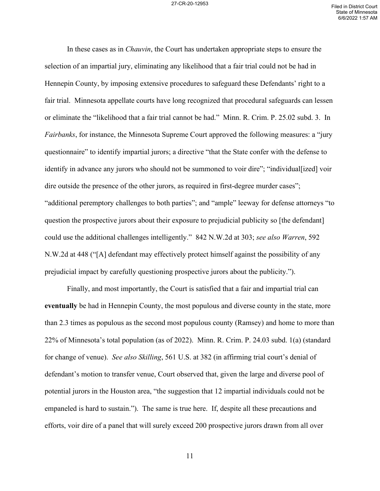In these cases as in *Chauvin*, the Court has undertaken appropriate steps to ensure the selection of an impartial jury, eliminating any likelihood that a fair trial could not be had in Hennepin County, by imposing extensive procedures to safeguard these Defendants' right to a fair trial. Minnesota appellate courts have long recognized that procedural safeguards can lessen or eliminate the "likelihood that a fair trial cannot be had." Minn. R. Crim. P. 25.02 subd. 3. In *Fairbanks*, for instance, the Minnesota Supreme Court approved the following measures: a "jury questionnaire" to identify impartial jurors; a directive "that the State confer with the defense to identify in advance any jurors who should not be summoned to voir dire"; "individual [ized] voir dire outside the presence of the other jurors, as required in first-degree murder cases"; "additional peremptory challenges to both parties"; and "ample" leeway for defense attorneys "to question the prospective jurors about their exposure to prejudicial publicity so [the defendant] could use the additional challenges intelligently." 842 N.W.2d at 303; *see also Warren*, 592 N.W.2d at 448 ("[A] defendant may effectively protect himself against the possibility of any prejudicial impact by carefully questioning prospective jurors about the publicity.").

Finally, and most importantly, the Court is satisfied that a fair and impartial trial can **eventually** be had in Hennepin County, the most populous and diverse county in the state, more than 2.3 times as populous as the second most populous county (Ramsey) and home to more than 22% of Minnesota's total population (as of 2022). Minn. R. Crim. P. 24.03 subd. 1(a) (standard for change of venue). *See also Skilling*, 561 U.S. at 382 (in affirming trial court's denial of defendant's motion to transfer venue, Court observed that, given the large and diverse pool of potential jurors in the Houston area, "the suggestion that 12 impartial individuals could not be empaneled is hard to sustain."). The same is true here. If, despite all these precautions and efforts, voir dire of a panel that will surely exceed 200 prospective jurors drawn from all over

11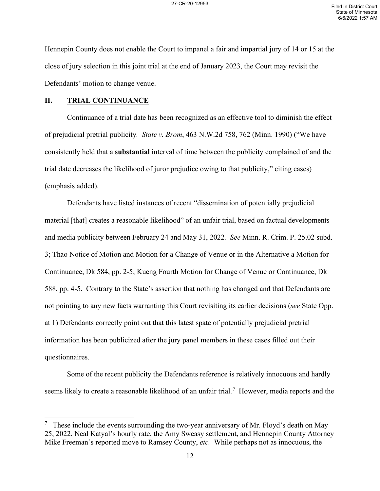Hennepin County does not enable the Court to impanel a fair and impartial jury of 14 or 15 at the close of jury selection in this joint trial at the end of January 2023, the Court may revisit the Defendants' motion to change venue.

#### **II. TRIAL CONTINUANCE**

Continuance of a trial date has been recognized as an effective tool to diminish the effect of prejudicial pretrial publicity*. State v. Brom*, 463 N.W.2d 758, 762 (Minn. 1990) ("We have consistently held that a **substantial** interval of time between the publicity complained of and the trial date decreases the likelihood of juror prejudice owing to that publicity," citing cases) (emphasis added).

Defendants have listed instances of recent "dissemination of potentially prejudicial material [that] creates a reasonable likelihood" of an unfair trial, based on factual developments and media publicity between February 24 and May 31, 2022*. See* Minn. R. Crim. P. 25.02 subd. 3; Thao Notice of Motion and Motion for a Change of Venue or in the Alternative a Motion for Continuance, Dk 584, pp. 2-5; Kueng Fourth Motion for Change of Venue or Continuance, Dk 588, pp. 4-5. Contrary to the State's assertion that nothing has changed and that Defendants are not pointing to any new facts warranting this Court revisiting its earlier decisions (*see* State Opp. at 1) Defendants correctly point out that this latest spate of potentially prejudicial pretrial information has been publicized after the jury panel members in these cases filled out their questionnaires.

Some of the recent publicity the Defendants reference is relatively innocuous and hardly seems likely to create a reasonable likelihood of an unfair trial.<sup>[7](#page-11-0)</sup> However, media reports and the

<span id="page-11-0"></span><sup>7</sup> These include the events surrounding the two-year anniversary of Mr. Floyd's death on May 25, 2022, Neal Katyal's hourly rate, the Amy Sweasy settlement, and Hennepin County Attorney Mike Freeman's reported move to Ramsey County, *etc.* While perhaps not as innocuous, the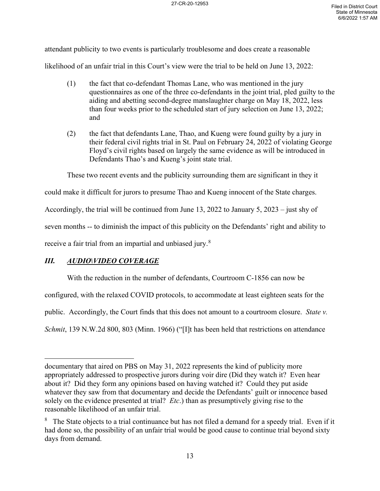attendant publicity to two events is particularly troublesome and does create a reasonable likelihood of an unfair trial in this Court's view were the trial to be held on June 13, 2022:

- (1) the fact that co-defendant Thomas Lane, who was mentioned in the jury questionnaires as one of the three co-defendants in the joint trial, pled guilty to the aiding and abetting second-degree manslaughter charge on May 18, 2022, less than four weeks prior to the scheduled start of jury selection on June 13, 2022; and
- (2) the fact that defendants Lane, Thao, and Kueng were found guilty by a jury in their federal civil rights trial in St. Paul on February 24, 2022 of violating George Floyd's civil rights based on largely the same evidence as will be introduced in Defendants Thao's and Kueng's joint state trial.

These two recent events and the publicity surrounding them are significant in they it

could make it difficult for jurors to presume Thao and Kueng innocent of the State charges.

Accordingly, the trial will be continued from June 13, 2022 to January 5, 2023 – just shy of

seven months -- to diminish the impact of this publicity on the Defendants' right and ability to

receive a fair trial from an impartial and unbiased jury.<sup>[8](#page-12-0)</sup>

# *III. AUDIO\VIDEO COVERAGE*

With the reduction in the number of defendants, Courtroom C-1856 can now be

configured, with the relaxed COVID protocols, to accommodate at least eighteen seats for the

public. Accordingly, the Court finds that this does not amount to a courtroom closure. *State v.* 

*Schmit*, 139 N.W.2d 800, 803 (Minn. 1966) ("[I]t has been held that restrictions on attendance

documentary that aired on PBS on May 31, 2022 represents the kind of publicity more appropriately addressed to prospective jurors during voir dire (Did they watch it? Even hear about it? Did they form any opinions based on having watched it? Could they put aside whatever they saw from that documentary and decide the Defendants' guilt or innocence based solely on the evidence presented at trial? *Etc*.) than as presumptively giving rise to the reasonable likelihood of an unfair trial.

<span id="page-12-0"></span> $8$  The State objects to a trial continuance but has not filed a demand for a speedy trial. Even if it had done so, the possibility of an unfair trial would be good cause to continue trial beyond sixty days from demand.